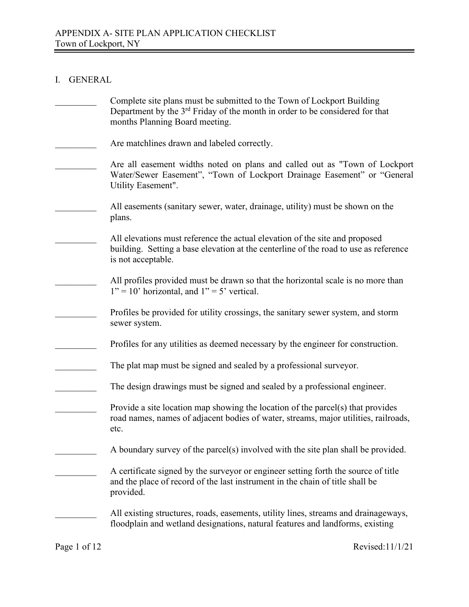### I. GENERAL

| Complete site plans must be submitted to the Town of Lockport Building<br>Department by the 3 <sup>rd</sup> Friday of the month in order to be considered for that<br>months Planning Board meeting. |
|------------------------------------------------------------------------------------------------------------------------------------------------------------------------------------------------------|
| Are matchlines drawn and labeled correctly.                                                                                                                                                          |
| Are all easement widths noted on plans and called out as "Town of Lockport"<br>Water/Sewer Easement", "Town of Lockport Drainage Easement" or "General<br>Utility Easement".                         |
| All easements (sanitary sewer, water, drainage, utility) must be shown on the<br>plans.                                                                                                              |
| All elevations must reference the actual elevation of the site and proposed<br>building. Setting a base elevation at the centerline of the road to use as reference<br>is not acceptable.            |
| All profiles provided must be drawn so that the horizontal scale is no more than<br>$1" = 10"$ horizontal, and $1" = 5"$ vertical.                                                                   |
| Profiles be provided for utility crossings, the sanitary sewer system, and storm<br>sewer system.                                                                                                    |
| Profiles for any utilities as deemed necessary by the engineer for construction.                                                                                                                     |
| The plat map must be signed and sealed by a professional surveyor.                                                                                                                                   |
| The design drawings must be signed and sealed by a professional engineer.                                                                                                                            |
| Provide a site location map showing the location of the parcel(s) that provides<br>road names, names of adjacent bodies of water, streams, major utilities, railroads,<br>etc.                       |
| A boundary survey of the parcel(s) involved with the site plan shall be provided.                                                                                                                    |
| A certificate signed by the surveyor or engineer setting forth the source of title<br>and the place of record of the last instrument in the chain of title shall be<br>provided.                     |
| All existing structures, roads, easements, utility lines, streams and drainageways,<br>floodplain and wetland designations, natural features and landforms, existing                                 |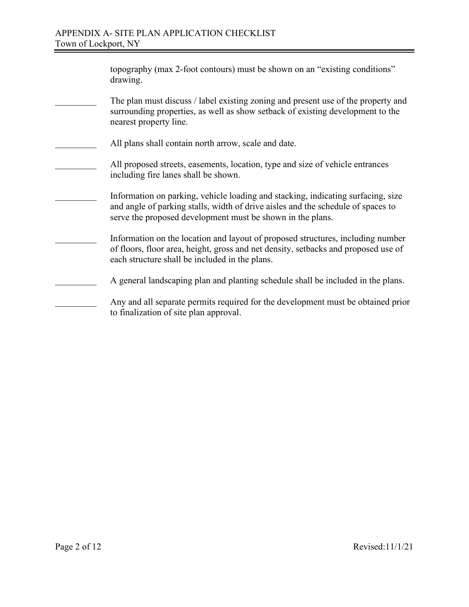| topography (max 2-foot contours) must be shown on an "existing conditions"<br>drawing.                                                                                                                                             |
|------------------------------------------------------------------------------------------------------------------------------------------------------------------------------------------------------------------------------------|
| The plan must discuss / label existing zoning and present use of the property and<br>surrounding properties, as well as show setback of existing development to the<br>nearest property line.                                      |
| All plans shall contain north arrow, scale and date.                                                                                                                                                                               |
| All proposed streets, easements, location, type and size of vehicle entrances<br>including fire lanes shall be shown.                                                                                                              |
| Information on parking, vehicle loading and stacking, indicating surfacing, size<br>and angle of parking stalls, width of drive aisles and the schedule of spaces to<br>serve the proposed development must be shown in the plans. |
| Information on the location and layout of proposed structures, including number<br>of floors, floor area, height, gross and net density, setbacks and proposed use of<br>each structure shall be included in the plans.            |
| A general landscaping plan and planting schedule shall be included in the plans.                                                                                                                                                   |
| Any and all separate permits required for the development must be obtained prior<br>to finalization of site plan approval.                                                                                                         |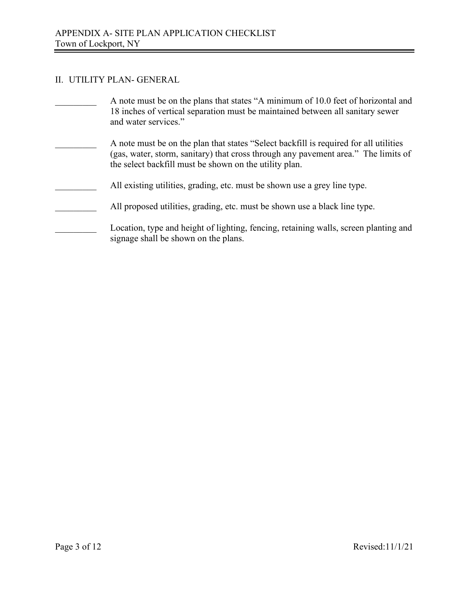# II. UTILITY PLAN- GENERAL

| A note must be on the plans that states "A minimum of 10.0 feet of horizontal and<br>18 inches of vertical separation must be maintained between all sanitary sewer<br>and water services."                                           |
|---------------------------------------------------------------------------------------------------------------------------------------------------------------------------------------------------------------------------------------|
| A note must be on the plan that states "Select backfill is required for all utilities<br>(gas, water, storm, sanitary) that cross through any pavement area." The limits of<br>the select backfill must be shown on the utility plan. |
| All existing utilities, grading, etc. must be shown use a grey line type.                                                                                                                                                             |
| All proposed utilities, grading, etc. must be shown use a black line type.                                                                                                                                                            |
| Location, type and height of lighting, fencing, retaining walls, screen planting and<br>signage shall be shown on the plans.                                                                                                          |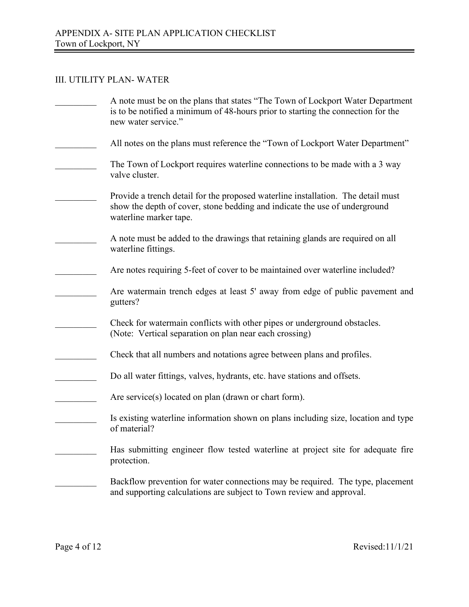### III. UTILITY PLAN- WATER

| A note must be on the plans that states "The Town of Lockport Water Department<br>is to be notified a minimum of 48-hours prior to starting the connection for the<br>new water service." |
|-------------------------------------------------------------------------------------------------------------------------------------------------------------------------------------------|
| All notes on the plans must reference the "Town of Lockport Water Department"                                                                                                             |
| The Town of Lockport requires waterline connections to be made with a 3 way<br>valve cluster.                                                                                             |
| Provide a trench detail for the proposed waterline installation. The detail must<br>show the depth of cover, stone bedding and indicate the use of underground<br>waterline marker tape.  |
| A note must be added to the drawings that retaining glands are required on all<br>waterline fittings.                                                                                     |
| Are notes requiring 5-feet of cover to be maintained over waterline included?                                                                                                             |
| Are watermain trench edges at least 5' away from edge of public pavement and<br>gutters?                                                                                                  |
| Check for watermain conflicts with other pipes or underground obstacles.<br>(Note: Vertical separation on plan near each crossing)                                                        |
| Check that all numbers and notations agree between plans and profiles.                                                                                                                    |
| Do all water fittings, valves, hydrants, etc. have stations and offsets.                                                                                                                  |
| Are service(s) located on plan (drawn or chart form).                                                                                                                                     |
| Is existing waterline information shown on plans including size, location and type<br>of material?                                                                                        |
| Has submitting engineer flow tested waterline at project site for adequate fire<br>protection.                                                                                            |
| Backflow prevention for water connections may be required. The type, placement<br>and supporting calculations are subject to Town review and approval.                                    |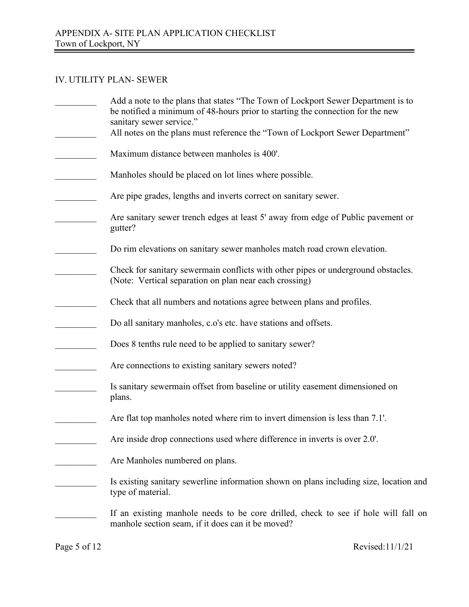## IV. UTILITY PLAN- SEWER

| Add a note to the plans that states "The Town of Lockport Sewer Department is to<br>be notified a minimum of 48-hours prior to starting the connection for the new<br>sanitary sewer service." |
|------------------------------------------------------------------------------------------------------------------------------------------------------------------------------------------------|
| All notes on the plans must reference the "Town of Lockport Sewer Department"<br>Maximum distance between manholes is 400'.                                                                    |
|                                                                                                                                                                                                |
| Manholes should be placed on lot lines where possible.                                                                                                                                         |
| Are pipe grades, lengths and inverts correct on sanitary sewer.                                                                                                                                |
| Are sanitary sewer trench edges at least 5' away from edge of Public pavement or<br>gutter?                                                                                                    |
| Do rim elevations on sanitary sewer manholes match road crown elevation.                                                                                                                       |
| Check for sanitary sewermain conflicts with other pipes or underground obstacles.<br>(Note: Vertical separation on plan near each crossing)                                                    |
| Check that all numbers and notations agree between plans and profiles.                                                                                                                         |
| Do all sanitary manholes, c.o's etc. have stations and offsets.                                                                                                                                |
| Does 8 tenths rule need to be applied to sanitary sewer?                                                                                                                                       |
| Are connections to existing sanitary sewers noted?                                                                                                                                             |
| Is sanitary sewermain offset from baseline or utility easement dimensioned on<br>plans.                                                                                                        |
| Are flat top manholes noted where rim to invert dimension is less than 7.1'.                                                                                                                   |
| Are inside drop connections used where difference in inverts is over 2.0'.                                                                                                                     |
| Are Manholes numbered on plans.                                                                                                                                                                |
| Is existing sanitary sewerline information shown on plans including size, location and<br>type of material.                                                                                    |
| If an existing manhole needs to be core drilled, check to see if hole will fall on<br>manhole section seam, if it does can it be moved?                                                        |
|                                                                                                                                                                                                |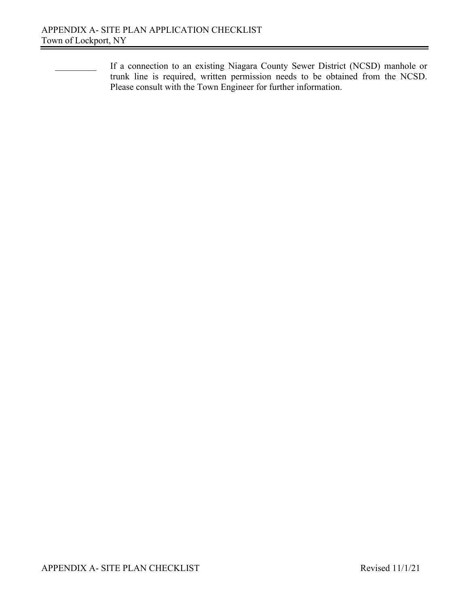If a connection to an existing Niagara County Sewer District (NCSD) manhole or trunk line is required, written permission needs to be obtained from the NCSD. Please consult with the Town Engineer for further information.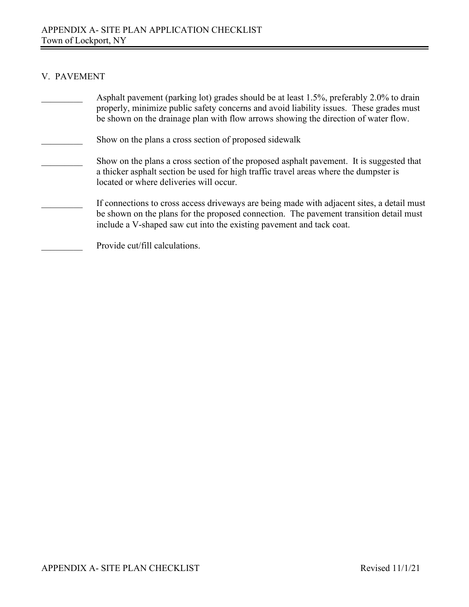# V. PAVEMENT

| Asphalt pavement (parking lot) grades should be at least 1.5%, preferably 2.0% to drain<br>properly, minimize public safety concerns and avoid liability issues. These grades must<br>be shown on the drainage plan with flow arrows showing the direction of water flow. |
|---------------------------------------------------------------------------------------------------------------------------------------------------------------------------------------------------------------------------------------------------------------------------|
| Show on the plans a cross section of proposed sidewalk                                                                                                                                                                                                                    |
| Show on the plans a cross section of the proposed asphalt pavement. It is suggested that<br>a thicker asphalt section be used for high traffic travel areas where the dumpster is<br>located or where deliveries will occur.                                              |
| If connections to cross access driveways are being made with adjacent sites, a detail must<br>be shown on the plans for the proposed connection. The pavement transition detail must<br>include a V-shaped saw cut into the existing pavement and tack coat.              |
| Provide cut/fill calculations.                                                                                                                                                                                                                                            |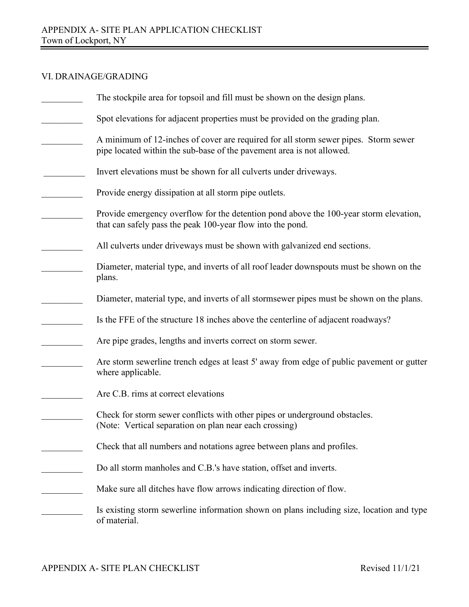# VI. DRAINAGE/GRADING

| The stockpile area for topsoil and fill must be shown on the design plans.                                                                                   |
|--------------------------------------------------------------------------------------------------------------------------------------------------------------|
| Spot elevations for adjacent properties must be provided on the grading plan.                                                                                |
| A minimum of 12-inches of cover are required for all storm sewer pipes. Storm sewer<br>pipe located within the sub-base of the pavement area is not allowed. |
| Invert elevations must be shown for all culverts under driveways.                                                                                            |
| Provide energy dissipation at all storm pipe outlets.                                                                                                        |
| Provide emergency overflow for the detention pond above the 100-year storm elevation,<br>that can safely pass the peak 100-year flow into the pond.          |
| All culverts under driveways must be shown with galvanized end sections.                                                                                     |
| Diameter, material type, and inverts of all roof leader downspouts must be shown on the<br>plans.                                                            |
| Diameter, material type, and inverts of all stormsewer pipes must be shown on the plans.                                                                     |
| Is the FFE of the structure 18 inches above the centerline of adjacent roadways?                                                                             |
| Are pipe grades, lengths and inverts correct on storm sewer.                                                                                                 |
| Are storm sewerline trench edges at least 5' away from edge of public pavement or gutter<br>where applicable.                                                |
| Are C.B. rims at correct elevations                                                                                                                          |
| Check for storm sewer conflicts with other pipes or underground obstacles.<br>(Note: Vertical separation on plan near each crossing)                         |
| Check that all numbers and notations agree between plans and profiles.                                                                                       |
| Do all storm manholes and C.B.'s have station, offset and inverts.                                                                                           |
| Make sure all ditches have flow arrows indicating direction of flow.                                                                                         |
| Is existing storm sewerline information shown on plans including size, location and type<br>of material.                                                     |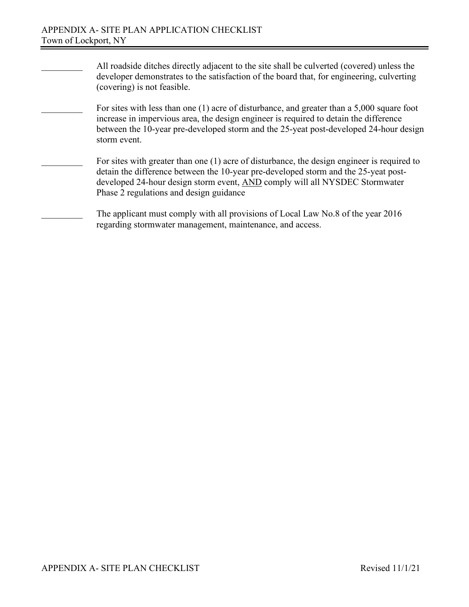- All roadside ditches directly adjacent to the site shall be culverted (covered) unless the developer demonstrates to the satisfaction of the board that, for engineering, culverting (covering) is not feasible.
	- For sites with less than one (1) acre of disturbance, and greater than a 5,000 square foot increase in impervious area, the design engineer is required to detain the difference between the 10-year pre-developed storm and the 25-yeat post-developed 24-hour design storm event.
- For sites with greater than one (1) acre of disturbance, the design engineer is required to detain the difference between the 10-year pre-developed storm and the 25-yeat postdeveloped 24-hour design storm event, AND comply will all NYSDEC Stormwater Phase 2 regulations and design guidance
	- The applicant must comply with all provisions of Local Law No.8 of the year 2016 regarding stormwater management, maintenance, and access.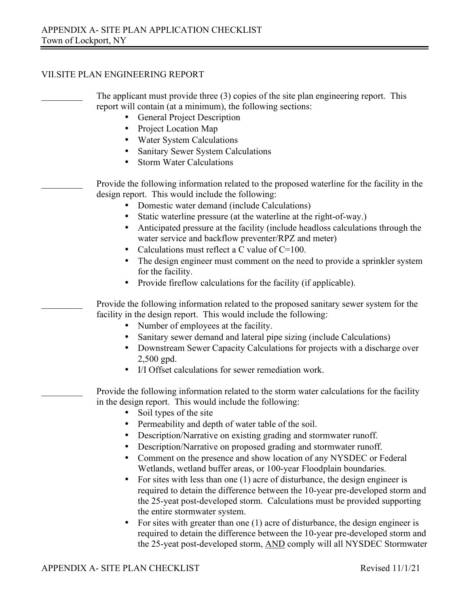## VII.SITE PLAN ENGINEERING REPORT

| The applicant must provide three (3) copies of the site plan engineering report. This<br>report will contain (at a minimum), the following sections:                       |
|----------------------------------------------------------------------------------------------------------------------------------------------------------------------------|
|                                                                                                                                                                            |
| <b>General Project Description</b><br>Project Location Map                                                                                                                 |
| Water System Calculations                                                                                                                                                  |
| Sanitary Sewer System Calculations                                                                                                                                         |
| <b>Storm Water Calculations</b><br>$\bullet$                                                                                                                               |
|                                                                                                                                                                            |
| Provide the following information related to the proposed waterline for the facility in the<br>design report. This would include the following:                            |
| Domestic water demand (include Calculations)                                                                                                                               |
| Static waterline pressure (at the waterline at the right-of-way.)                                                                                                          |
| Anticipated pressure at the facility (include headloss calculations through the<br>water service and backflow preventer/RPZ and meter)                                     |
| Calculations must reflect a C value of $C=100$ .<br>$\bullet$                                                                                                              |
| The design engineer must comment on the need to provide a sprinkler system<br>for the facility.                                                                            |
| Provide fireflow calculations for the facility (if applicable).                                                                                                            |
| Provide the following information related to the proposed sanitary sewer system for the                                                                                    |
| facility in the design report. This would include the following:                                                                                                           |
| Number of employees at the facility.                                                                                                                                       |
| Sanitary sewer demand and lateral pipe sizing (include Calculations)                                                                                                       |
| Downstream Sewer Capacity Calculations for projects with a discharge over<br>$2,500$ gpd.                                                                                  |
| I/I Offset calculations for sewer remediation work.                                                                                                                        |
| Provide the following information related to the storm water calculations for the facility<br>in the design report. This would include the following:                      |
| Soil types of the site                                                                                                                                                     |
| Permeability and depth of water table of the soil.                                                                                                                         |
| Description/Narrative on existing grading and stormwater runoff.                                                                                                           |
| Description/Narrative on proposed grading and stormwater runoff.                                                                                                           |
| Comment on the presence and show location of any NYSDEC or Federal                                                                                                         |
| Wetlands, wetland buffer areas, or 100-year Floodplain boundaries.                                                                                                         |
| For sites with less than one (1) acre of disturbance, the design engineer is<br>$\bullet$<br>required to detain the difference between the 10-year pre-developed storm and |
| the 25-yeat post-developed storm. Calculations must be provided supporting                                                                                                 |
| the entire stormwater system.                                                                                                                                              |
| For sites with greater than one $(1)$ acre of disturbance, the design engineer is                                                                                          |

required to detain the difference between the 10-year pre-developed storm and the 25-yeat post-developed storm, AND comply will all NYSDEC Stormwater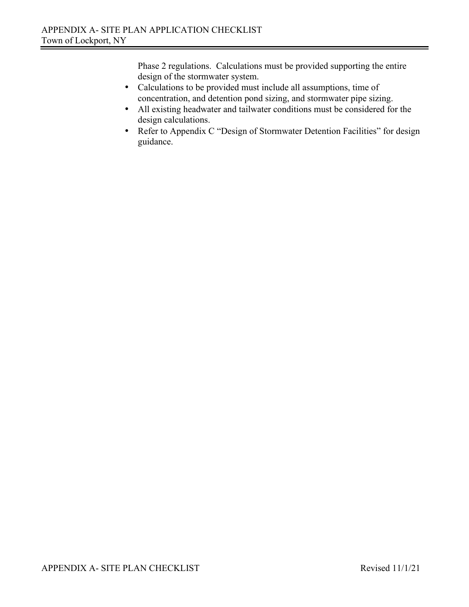Phase 2 regulations. Calculations must be provided supporting the entire design of the stormwater system.

- Calculations to be provided must include all assumptions, time of concentration, and detention pond sizing, and stormwater pipe sizing.
- All existing headwater and tailwater conditions must be considered for the design calculations.
- Refer to Appendix C "Design of Stormwater Detention Facilities" for design guidance.